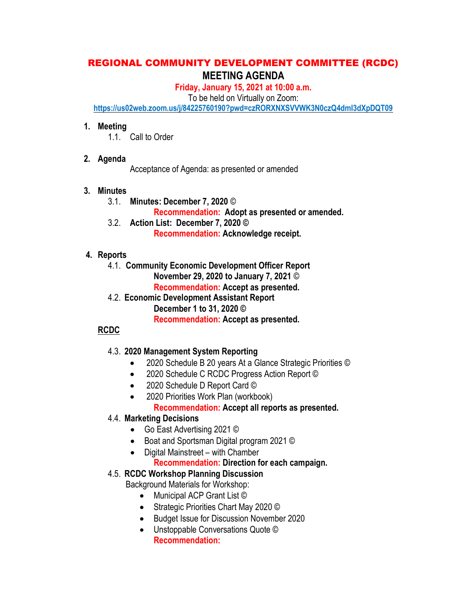# REGIONAL COMMUNITY DEVELOPMENT COMMITTEE (RCDC) MEETING AGENDA

Friday, January 15, 2021 at 10:00 a.m.

To be held on Virtually on Zoom:

https://us02web.zoom.us/j/84225760190?pwd=czRORXNXSVVWK3N0czQ4dmI3dXpDQT09

#### 1. Meeting

1.1. Call to Order

### 2. Agenda

Acceptance of Agenda: as presented or amended

### 3. Minutes

3.1. Minutes: December 7, 2020 ©

Recommendation: Adopt as presented or amended.

3.2. Action List: December 7, 2020 © Recommendation: Acknowledge receipt.

## 4. Reports

- 4.1. Community Economic Development Officer Report November 29, 2020 to January 7, 2021 © Recommendation: Accept as presented.
- 4.2. Economic Development Assistant Report December 1 to 31, 2020 © Recommendation: Accept as presented.

## RCDC

## 4.3. 2020 Management System Reporting

- 2020 Schedule B 20 years At a Glance Strategic Priorities ©
- 2020 Schedule C RCDC Progress Action Report ©
- 2020 Schedule D Report Card ©
- 2020 Priorities Work Plan (workbook) Recommendation: Accept all reports as presented.

## 4.4. Marketing Decisions

- Go East Advertising 2021 ©
- Boat and Sportsman Digital program 2021 ©
- Digital Mainstreet with Chamber

## Recommendation: Direction for each campaign.

## 4.5. RCDC Workshop Planning Discussion

Background Materials for Workshop:

- Municipal ACP Grant List ©
- Strategic Priorities Chart May 2020 ©
- **Budget Issue for Discussion November 2020**
- Unstoppable Conversations Quote © Recommendation: